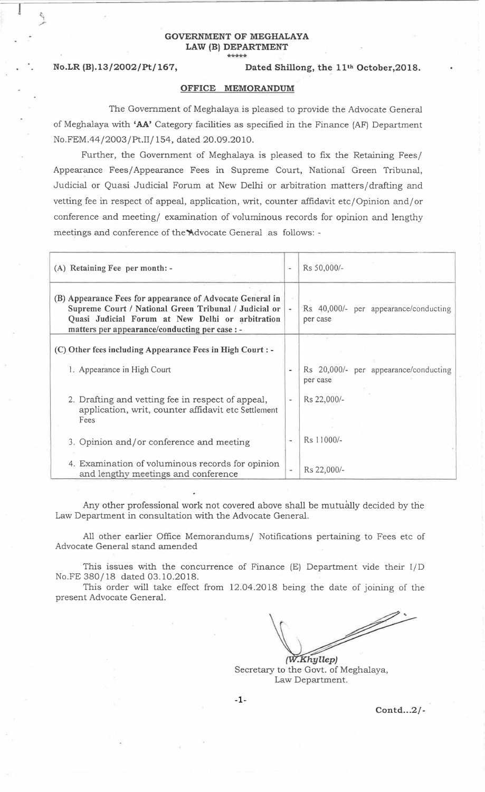#### GOVERNMENT OF MEGHALAYA LAW (B) DEPARTMENT \*\*\*\*\*

 $\frac{1}{2}$ 

/"

### No.LR (B).13/2002/Pt/167, Dated Shillong, the 11<sup>th</sup> October, 2018.

#### OFFICE MEMORANDUM

The Government of Meghalaya is pleased to provide the Advocate General of Meghalaya with 'AA' Category facilities as specified in the Finance (AF) Department No.FEM.44/2003/Pt.II/ 154, dated 20.09.2010.

Further, the Government of Meghalaya is pleased to fix the Retaining Fees/ Appearance Fees/Appearance Fees in Supreme Court, National Green Tribunal, Judicial or Quasi Judicial Forum at New Delhi or arbitration matters/drafting and vetting fee in respect of appeal, application, writ, counter affidavit etc/Opinion and/ or conference and meeting/ examination of voluminous records for opinion and lengthy meetings and conference of the Advocate General as follows: -

| (A) Retaining Fee per month: -                                                                                                                                                                                           | $\overline{\phantom{a}}$ | Rs 50,000/-                                       |
|--------------------------------------------------------------------------------------------------------------------------------------------------------------------------------------------------------------------------|--------------------------|---------------------------------------------------|
| (B) Appearance Fees for appearance of Advocate General in<br>Supreme Court / National Green Tribunal / Judicial or<br>Quasi Judicial Forum at New Delhi or arbitration<br>matters per appearance/conducting per case : - | $\overline{a}$           | Rs 40,000/- per appearance/conducting<br>per case |
| (C) Other fees including Appearance Fees in High Court : -                                                                                                                                                               |                          |                                                   |
| 1. Appearance in High Court                                                                                                                                                                                              |                          | Rs 20,000/- per appearance/conducting<br>per case |
| 2. Drafting and vetting fee in respect of appeal,<br>application, writ, counter affidavit etc Settlement<br>Fees                                                                                                         |                          | Rs 22,000/-                                       |
| 3. Opinion and/or conference and meeting                                                                                                                                                                                 | Ξ                        | Rs 11000/-                                        |
| 4. Examination of voluminous records for opinion<br>and lengthy meetings and conference                                                                                                                                  | ÷.                       | Rs 22,000/-                                       |

Any other professional work not covered above shall be mutually decided by the Law Department in consultation with the Advocate General.

All other earlier Office Memorandums/ Notifications pertaining to Fees etc of Advocate General stand amended

This issues with the concurrence of Finance (E) Department vide their l/D No.FE 380/18 dated 03.10.2018.

This order will take effect from 12.04.2018 being the date of joining of the present Advocate General.

J).<br>J .Khyllep)

Secretary to the Govt. of Meghalaya, Law Department.

Contd...2/-

-1-